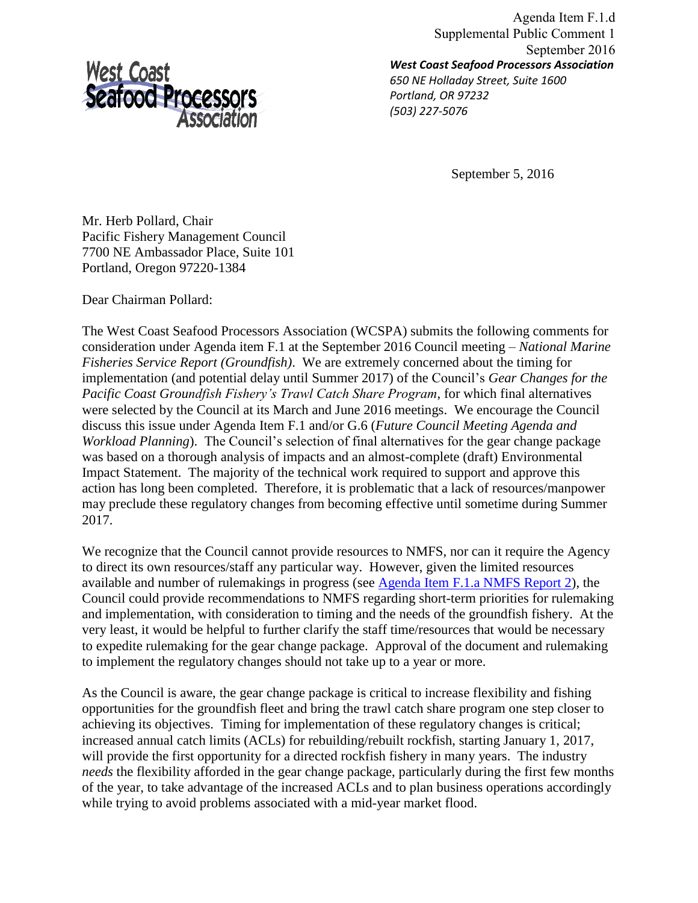

*West Coast Seafood Processors Association 650 NE Holladay Street, Suite 1600 Portland, OR 97232 (503) 227-5076*  Agenda Item F.1.d Supplemental Public Comment 1 September 2016

September 5, 2016

Mr. Herb Pollard, Chair Pacific Fishery Management Council 7700 NE Ambassador Place, Suite 101 Portland, Oregon 97220-1384

Dear Chairman Pollard:

The West Coast Seafood Processors Association (WCSPA) submits the following comments for consideration under Agenda item F.1 at the September 2016 Council meeting – *National Marine Fisheries Service Report (Groundfish)*. We are extremely concerned about the timing for implementation (and potential delay until Summer 2017) of the Council's *Gear Changes for the Pacific Coast Groundfish Fishery's Trawl Catch Share Program*, for which final alternatives were selected by the Council at its March and June 2016 meetings. We encourage the Council discuss this issue under Agenda Item F.1 and/or G.6 (*Future Council Meeting Agenda and Workload Planning*). The Council's selection of final alternatives for the gear change package was based on a thorough analysis of impacts and an almost-complete (draft) Environmental Impact Statement. The majority of the technical work required to support and approve this action has long been completed. Therefore, it is problematic that a lack of resources/manpower may preclude these regulatory changes from becoming effective until sometime during Summer 2017.

We recognize that the Council cannot provide resources to NMFS, nor can it require the Agency to direct its own resources/staff any particular way. However, given the limited resources available and number of rulemakings in progress (see [Agenda Item F.1.a NMFS Report 2\)](http://www.pcouncil.org/wp-content/uploads/2016/08/F1a_NMFS_Rpt2_Rulemaking_plan_2016_SEPT2016BB.pdf), the Council could provide recommendations to NMFS regarding short-term priorities for rulemaking and implementation, with consideration to timing and the needs of the groundfish fishery. At the very least, it would be helpful to further clarify the staff time/resources that would be necessary to expedite rulemaking for the gear change package. Approval of the document and rulemaking to implement the regulatory changes should not take up to a year or more.

As the Council is aware, the gear change package is critical to increase flexibility and fishing opportunities for the groundfish fleet and bring the trawl catch share program one step closer to achieving its objectives. Timing for implementation of these regulatory changes is critical; increased annual catch limits (ACLs) for rebuilding/rebuilt rockfish, starting January 1, 2017, will provide the first opportunity for a directed rockfish fishery in many years. The industry *needs* the flexibility afforded in the gear change package, particularly during the first few months of the year, to take advantage of the increased ACLs and to plan business operations accordingly while trying to avoid problems associated with a mid-year market flood.